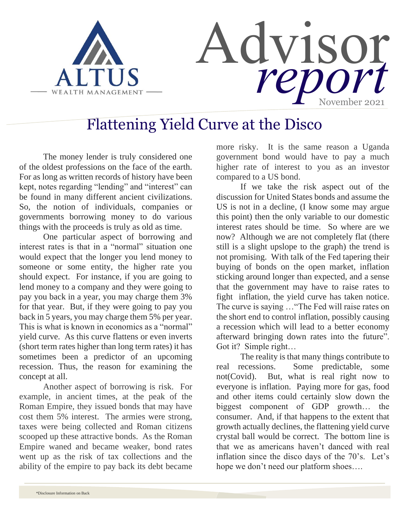

## Flattening Yield Curve at the Disco

The money lender is truly considered one of the oldest professions on the face of the earth. For as long as written records of history have been kept, notes regarding "lending" and "interest" can be found in many different ancient civilizations. So, the notion of individuals, companies or governments borrowing money to do various things with the proceeds is truly as old as time.

One particular aspect of borrowing and interest rates is that in a "normal" situation one would expect that the longer you lend money to someone or some entity, the higher rate you should expect. For instance, if you are going to lend money to a company and they were going to pay you back in a year, you may charge them 3% for that year. But, if they were going to pay you back in 5 years, you may charge them 5% per year. This is what is known in economics as a "normal" yield curve. As this curve flattens or even inverts (short term rates higher than long term rates) it has sometimes been a predictor of an upcoming recession. Thus, the reason for examining the concept at all.

Another aspect of borrowing is risk. For example, in ancient times, at the peak of the Roman Empire, they issued bonds that may have cost them 5% interest. The armies were strong, taxes were being collected and Roman citizens scooped up these attractive bonds. As the Roman Empire waned and became weaker, bond rates went up as the risk of tax collections and the ability of the empire to pay back its debt became more risky. It is the same reason a Uganda government bond would have to pay a much higher rate of interest to you as an investor compared to a US bond.

If we take the risk aspect out of the discussion for United States bonds and assume the US is not in a decline, (I know some may argue this point) then the only variable to our domestic interest rates should be time. So where are we now? Although we are not completely flat (there still is a slight upslope to the graph) the trend is not promising. With talk of the Fed tapering their buying of bonds on the open market, inflation sticking around longer than expected, and a sense that the government may have to raise rates to fight inflation, the yield curve has taken notice. The curve is saying …"The Fed will raise rates on the short end to control inflation, possibly causing a recession which will lead to a better economy afterward bringing down rates into the future". Got it? Simple right…

The reality is that many things contribute to real recessions. Some predictable, some not(Covid). But, what is real right now to everyone is inflation. Paying more for gas, food and other items could certainly slow down the biggest component of GDP growth… the consumer. And, if that happens to the extent that growth actually declines, the flattening yield curve crystal ball would be correct. The bottom line is that we as americans haven't danced with real inflation since the disco days of the 70's. Let's hope we don't need our platform shoes….